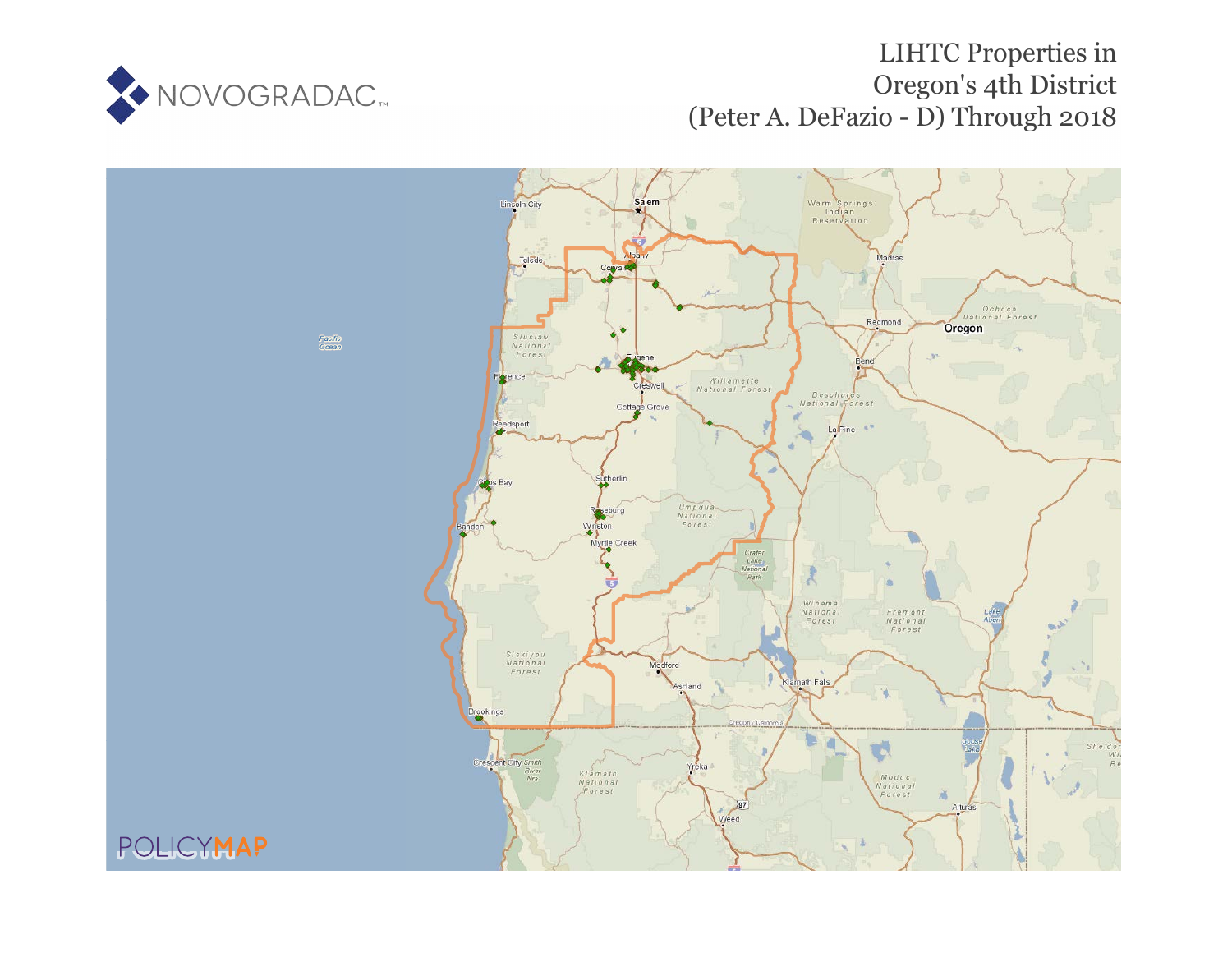

# LIHTC Properties in Oregon's 4th District (Peter A. DeFazio - D) Through 2018

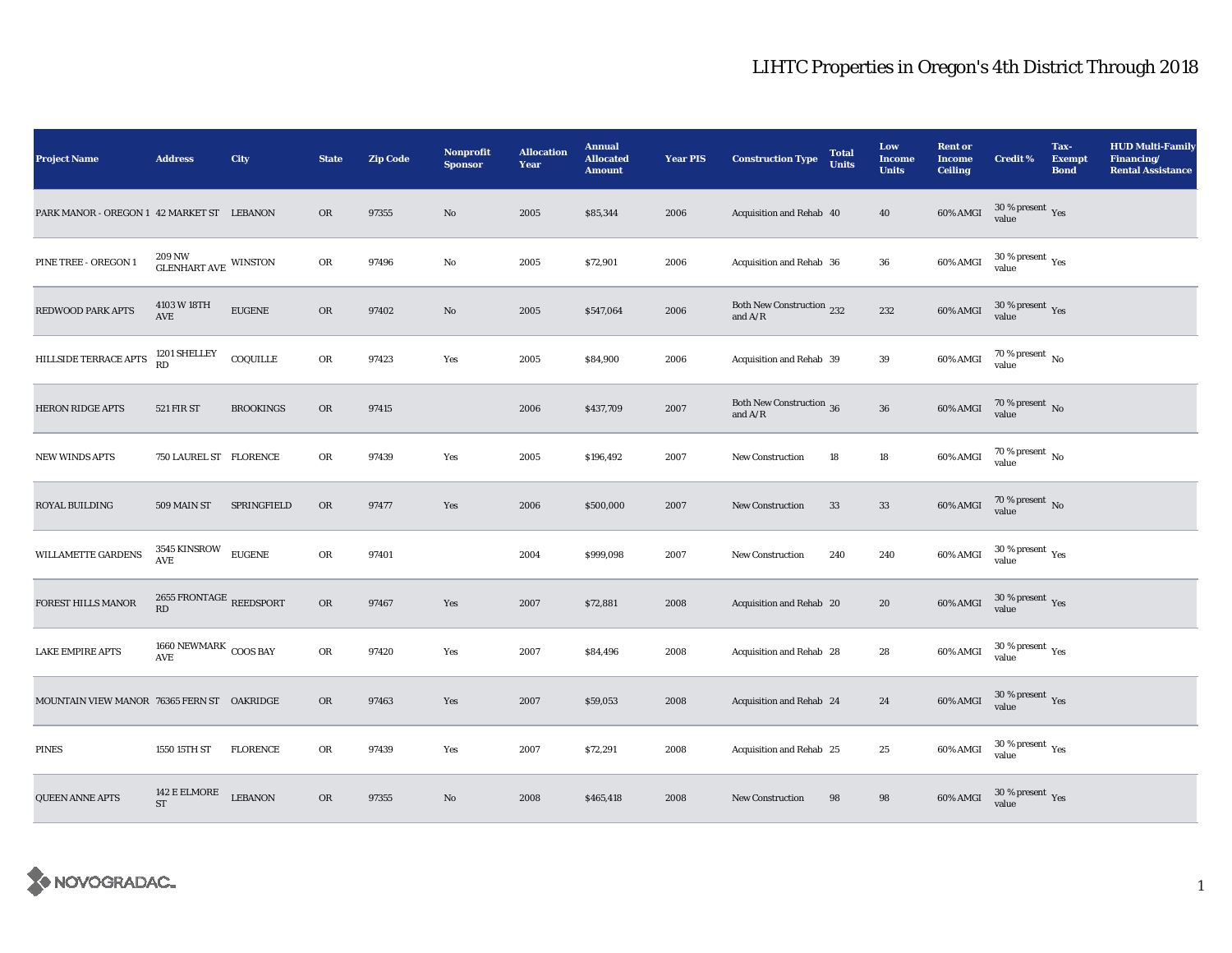| <b>Project Name</b>                        | <b>Address</b>                                                | City             | <b>State</b> | <b>Zip Code</b> | Nonprofit<br><b>Sponsor</b> | <b>Allocation</b><br>Year | <b>Annual</b><br><b>Allocated</b><br><b>Amount</b> | <b>Year PIS</b> | <b>Construction Type</b>                                                           | <b>Total</b><br><b>Units</b> | Low<br><b>Income</b><br><b>Units</b> | <b>Rent or</b><br><b>Income</b><br><b>Ceiling</b> | <b>Credit %</b>                          | Tax-<br><b>Exempt</b><br><b>Bond</b> | <b>HUD Multi-Family</b><br>Financing/<br><b>Rental Assistance</b> |
|--------------------------------------------|---------------------------------------------------------------|------------------|--------------|-----------------|-----------------------------|---------------------------|----------------------------------------------------|-----------------|------------------------------------------------------------------------------------|------------------------------|--------------------------------------|---------------------------------------------------|------------------------------------------|--------------------------------------|-------------------------------------------------------------------|
| PARK MANOR - OREGON 1 42 MARKET ST LEBANON |                                                               |                  | OR           | 97355           | No                          | 2005                      | \$85,344                                           | 2006            | Acquisition and Rehab 40                                                           |                              | 40                                   | $60\%$ AMGI                                       | $30\,\%$ present $\,\mathrm{Yes}$ value  |                                      |                                                                   |
| PINE TREE - OREGON 1                       | $209\,\mathrm{NW}$ $\textrm{GLENHART AVE}$ WINSTON            |                  | OR           | 97496           | No                          | 2005                      | \$72,901                                           | 2006            | Acquisition and Rehab 36                                                           |                              | ${\bf 36}$                           | 60% AMGI                                          | $30\,\%$ present $\,\mathrm{Yes}$ value  |                                      |                                                                   |
| <b>REDWOOD PARK APTS</b>                   | 4103 W 18TH<br>AVE                                            | <b>EUGENE</b>    | OR           | 97402           | No                          | 2005                      | \$547,064                                          | 2006            | Both New Construction 232<br>and $\ensuremath{\mathrm{A}}/\ensuremath{\mathrm{R}}$ |                              | 232                                  | 60% AMGI                                          | $30\,\%$ present $\,\mathrm{Yes}$ value  |                                      |                                                                   |
| HILLSIDE TERRACE APTS                      | 1201 SHELLEY<br>RD                                            | COQUILLE         | OR           | 97423           | Yes                         | 2005                      | \$84,900                                           | 2006            | Acquisition and Rehab 39                                                           |                              | 39                                   | $60\%$ AMGI                                       | $70\,\%$ present $_{\rm{No}}$            |                                      |                                                                   |
| <b>HERON RIDGE APTS</b>                    | <b>521 FIR ST</b>                                             | <b>BROOKINGS</b> | OR           | 97415           |                             | 2006                      | \$437,709                                          | 2007            | Both New Construction 36<br>and $\ensuremath{\mathrm{A}}/\ensuremath{\mathrm{R}}$  |                              | ${\bf 36}$                           | 60% AMGI                                          | $70\,\%$ present $\,$ No value           |                                      |                                                                   |
| <b>NEW WINDS APTS</b>                      | 750 LAUREL ST FLORENCE                                        |                  | OR           | 97439           | Yes                         | 2005                      | \$196,492                                          | 2007            | <b>New Construction</b>                                                            | 18                           | 18                                   | $60\%$ AMGI                                       | $70\,\%$ present $\,$ No value           |                                      |                                                                   |
| <b>ROYAL BUILDING</b>                      | 509 MAIN ST                                                   | SPRINGFIELD      | OR           | 97477           | Yes                         | 2006                      | \$500,000                                          | 2007            | <b>New Construction</b>                                                            | 33                           | $\bf 33$                             | $60\%$ AMGI                                       | $70\,\%$ present $\,$ No value           |                                      |                                                                   |
| WILLAMETTE GARDENS                         | 3545 KINSROW EUGENE<br><b>AVE</b>                             |                  | ${\rm OR}$   | 97401           |                             | 2004                      | \$999,098                                          | 2007            | New Construction                                                                   | 240                          | 240                                  | 60% AMGI                                          | $30\,\%$ present $\,\mathrm{Yes}$ value  |                                      |                                                                   |
| FOREST HILLS MANOR                         | 2655 FRONTAGE REEDSPORT RD                                    |                  | ${\rm OR}$   | 97467           | Yes                         | 2007                      | \$72,881                                           | 2008            | Acquisition and Rehab 20                                                           |                              | 20                                   | 60% AMGI                                          | $30\,\%$ present $\,\mathrm{Yes}$ value  |                                      |                                                                   |
| <b>LAKE EMPIRE APTS</b>                    | $1660$ NEWMARK $\,$ COOS BAY<br>$\operatorname{\mathbf{AVE}}$ |                  | OR           | 97420           | Yes                         | 2007                      | \$84,496                                           | 2008            | Acquisition and Rehab 28                                                           |                              | 28                                   | 60% AMGI                                          | $30\,\%$ present $\,$ $\rm Yes$<br>value |                                      |                                                                   |
| MOUNTAIN VIEW MANOR 76365 FERN ST OAKRIDGE |                                                               |                  | OR           | 97463           | Yes                         | 2007                      | \$59,053                                           | 2008            | Acquisition and Rehab 24                                                           |                              | 24                                   | 60% AMGI                                          | $30\,\%$ present $\,$ Yes value          |                                      |                                                                   |
| <b>PINES</b>                               | 1550 15TH ST                                                  | <b>FLORENCE</b>  | ${\rm OR}$   | 97439           | Yes                         | 2007                      | \$72,291                                           | 2008            | Acquisition and Rehab 25                                                           |                              | $25\,$                               | $60\%$ AMGI                                       | $30\,\%$ present $\,$ Yes value          |                                      |                                                                   |
| <b>QUEEN ANNE APTS</b>                     | 142 E ELMORE<br><b>ST</b>                                     | <b>LEBANON</b>   | OR           | 97355           | $\mathbf{N}\mathbf{o}$      | 2008                      | \$465,418                                          | 2008            | <b>New Construction</b>                                                            | 98                           | $\bf{98}$                            | 60% AMGI                                          | $30\,\%$ present $\,$ Yes value          |                                      |                                                                   |

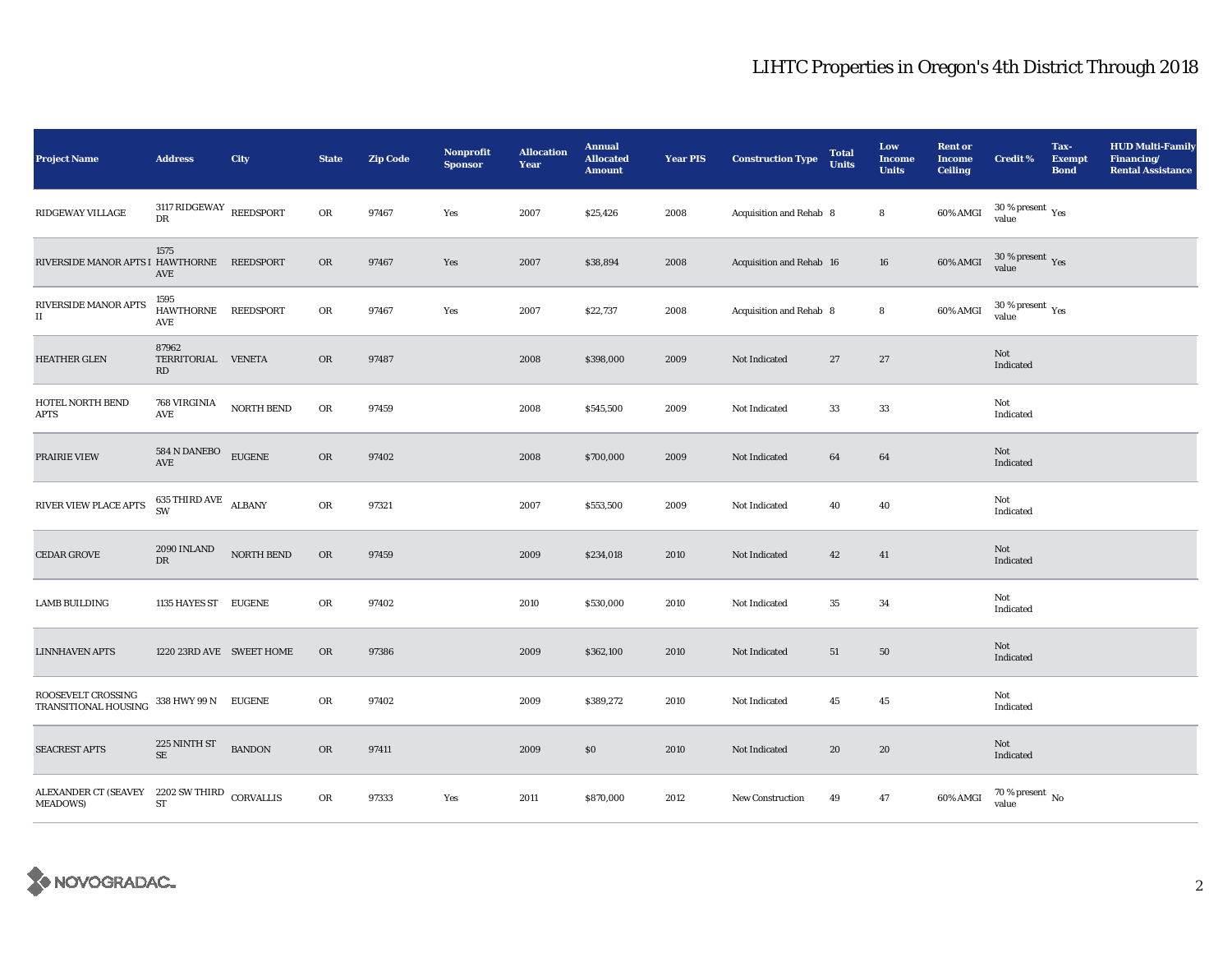| <b>Project Name</b>                                             | <b>Address</b>                         | City              | <b>State</b> | <b>Zip Code</b> | Nonprofit<br><b>Sponsor</b> | <b>Allocation</b><br>Year | <b>Annual</b><br><b>Allocated</b><br><b>Amount</b> | <b>Year PIS</b> | <b>Construction Type</b> | <b>Total</b><br><b>Units</b> | Low<br><b>Income</b><br><b>Units</b> | <b>Rent or</b><br><b>Income</b><br><b>Ceiling</b> | <b>Credit %</b>                         | Tax-<br><b>Exempt</b><br><b>Bond</b> | <b>HUD Multi-Family</b><br>Financing/<br><b>Rental Assistance</b> |
|-----------------------------------------------------------------|----------------------------------------|-------------------|--------------|-----------------|-----------------------------|---------------------------|----------------------------------------------------|-----------------|--------------------------|------------------------------|--------------------------------------|---------------------------------------------------|-----------------------------------------|--------------------------------------|-------------------------------------------------------------------|
| RIDGEWAY VILLAGE                                                | 3117 RIDGEWAY<br>DR                    | REEDSPORT         | OR           | 97467           | Yes                         | 2007                      | \$25,426                                           | 2008            | Acquisition and Rehab 8  |                              | 8                                    | 60% AMGI                                          | $30$ % present $\,$ $\rm Yes$<br>value  |                                      |                                                                   |
| RIVERSIDE MANOR APTS I HAWTHORNE                                | 1575<br>$\operatorname{AVE}$           | <b>REEDSPORT</b>  | OR           | 97467           | Yes                         | 2007                      | \$38,894                                           | 2008            | Acquisition and Rehab 16 |                              | ${\bf 16}$                           | 60% AMGI                                          | $30\,\%$ present $\,\mathrm{Yes}$ value |                                      |                                                                   |
| RIVERSIDE MANOR APTS<br>$\rm II$                                | 1595<br>HAWTHORNE REEDSPORT<br>AVE     |                   | ${\rm OR}$   | 97467           | Yes                         | 2007                      | \$22,737                                           | 2008            | Acquisition and Rehab 8  |                              | $\bf8$                               | 60% AMGI                                          | $30\,\%$ present $\,\mathrm{Yes}$ value |                                      |                                                                   |
| <b>HEATHER GLEN</b>                                             | 87962<br>TERRITORIAL<br>RD             | <b>VENETA</b>     | $_{\rm OR}$  | 97487           |                             | 2008                      | \$398,000                                          | 2009            | Not Indicated            | 27                           | $27\,$                               |                                                   | Not<br>Indicated                        |                                      |                                                                   |
| HOTEL NORTH BEND<br><b>APTS</b>                                 | <b>768 VIRGINIA</b><br>AVE             | NORTH BEND        | ${\rm OR}$   | 97459           |                             | 2008                      | \$545,500                                          | 2009            | Not Indicated            | 33                           | $33\,$                               |                                                   | Not<br>Indicated                        |                                      |                                                                   |
| PRAIRIE VIEW                                                    | $584$ N DANEBO $_{\rm{AVE}}$           | <b>EUGENE</b>     | ${\rm OR}$   | 97402           |                             | 2008                      | \$700,000                                          | 2009            | Not Indicated            | 64                           | 64                                   |                                                   | Not<br>Indicated                        |                                      |                                                                   |
| RIVER VIEW PLACE APTS                                           | $635$ THIRD AVE $\quad$ ALBANY $\quad$ |                   | OR           | 97321           |                             | 2007                      | \$553,500                                          | 2009            | Not Indicated            | 40                           | 40                                   |                                                   | Not<br>Indicated                        |                                      |                                                                   |
| <b>CEDAR GROVE</b>                                              | 2090 INLAND<br><b>DR</b>               | <b>NORTH BEND</b> | OR           | 97459           |                             | 2009                      | \$234,018                                          | 2010            | Not Indicated            | 42                           | 41                                   |                                                   | Not<br>Indicated                        |                                      |                                                                   |
| <b>LAMB BUILDING</b>                                            | 1135 HAYES ST EUGENE                   |                   | OR           | 97402           |                             | 2010                      | \$530,000                                          | 2010            | Not Indicated            | 35                           | 34                                   |                                                   | Not<br>Indicated                        |                                      |                                                                   |
| <b>LINNHAVEN APTS</b>                                           | 1220 23RD AVE SWEET HOME               |                   | OR           | 97386           |                             | 2009                      | \$362,100                                          | 2010            | Not Indicated            | 51                           | ${\bf 50}$                           |                                                   | Not<br>Indicated                        |                                      |                                                                   |
| ROOSEVELT CROSSING<br>TRANSITIONAL HOUSING                      | 338 HWY 99 N EUGENE                    |                   | OR           | 97402           |                             | 2009                      | \$389,272                                          | 2010            | Not Indicated            | 45                           | $45\,$                               |                                                   | Not<br>Indicated                        |                                      |                                                                   |
| <b>SEACREST APTS</b>                                            | 225 NINTH ST<br>$\rm SE$               | <b>BANDON</b>     | OR           | 97411           |                             | 2009                      | \$0\$                                              | 2010            | Not Indicated            | 20                           | 20                                   |                                                   | Not<br>Indicated                        |                                      |                                                                   |
| ALEXANDER CT (SEAVEY 2202 SW THIRD CORVALLIS<br><b>MEADOWS)</b> | ${\rm ST}$                             |                   | OR           | 97333           | Yes                         | 2011                      | \$870,000                                          | 2012            | <b>New Construction</b>  | 49                           | 47                                   | 60% AMGI                                          | $70$ % present $\,$ No value            |                                      |                                                                   |

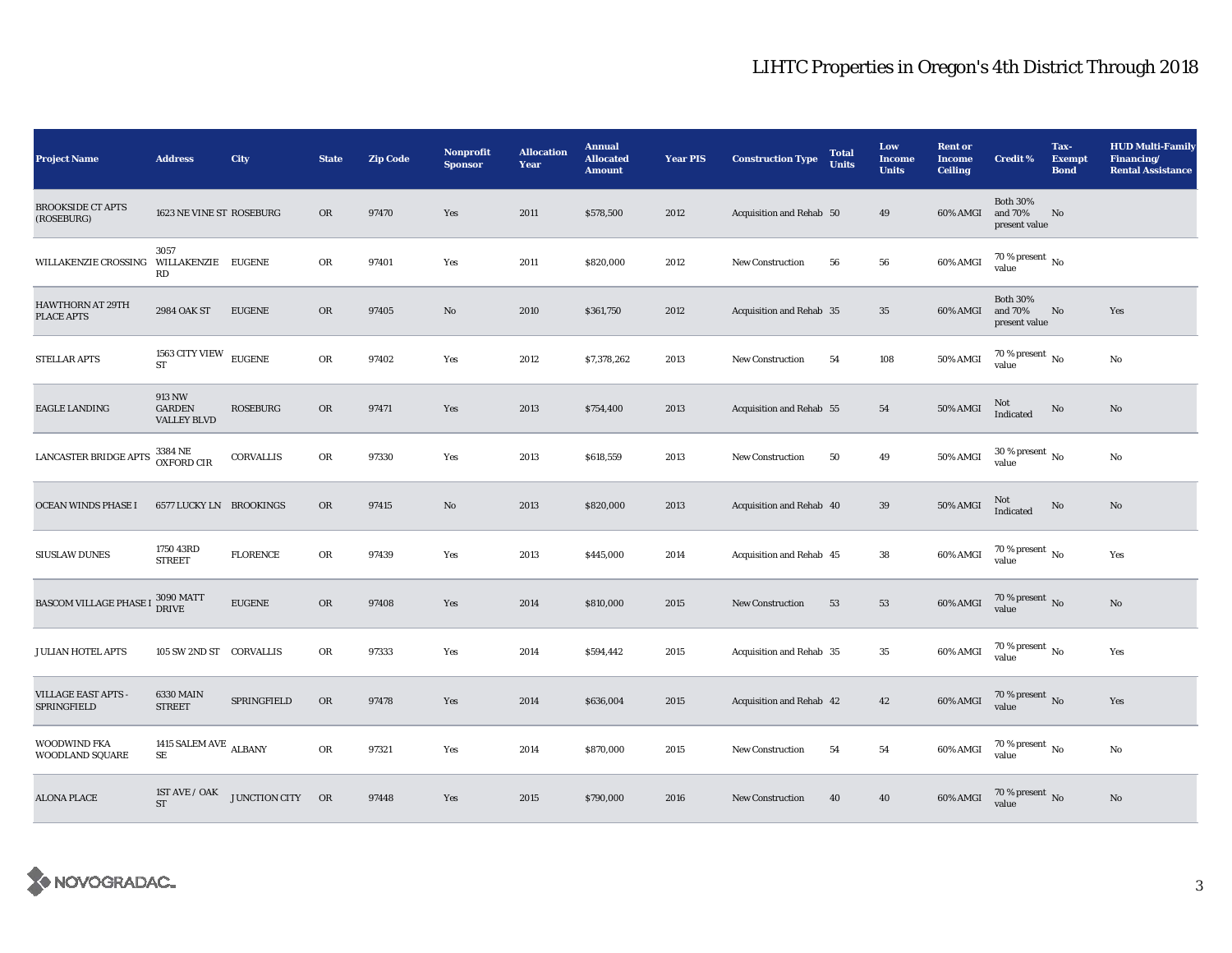| <b>Project Name</b>                          | <b>Address</b>                                | City             | <b>State</b> | <b>Zip Code</b> | <b>Nonprofit</b><br><b>Sponsor</b> | <b>Allocation</b><br>Year | <b>Annual</b><br><b>Allocated</b><br><b>Amount</b> | <b>Year PIS</b> | <b>Construction Type</b> | <b>Total</b><br><b>Units</b> | Low<br><b>Income</b><br><b>Units</b> | <b>Rent or</b><br><b>Income</b><br><b>Ceiling</b> | <b>Credit %</b>                             | Tax-<br><b>Exempt</b><br><b>Bond</b> | <b>HUD Multi-Family</b><br>Financing/<br><b>Rental Assistance</b> |
|----------------------------------------------|-----------------------------------------------|------------------|--------------|-----------------|------------------------------------|---------------------------|----------------------------------------------------|-----------------|--------------------------|------------------------------|--------------------------------------|---------------------------------------------------|---------------------------------------------|--------------------------------------|-------------------------------------------------------------------|
| <b>BROOKSIDE CT APTS</b><br>(ROSEBURG)       | 1623 NE VINE ST ROSEBURG                      |                  | OR           | 97470           | Yes                                | 2011                      | \$578,500                                          | 2012            | Acquisition and Rehab 50 |                              | 49                                   | 60% AMGI                                          | <b>Both 30%</b><br>and 70%<br>present value | No                                   |                                                                   |
| WILLAKENZIE CROSSING                         | 3057<br>WILLAKENZIE EUGENE<br>RD              |                  | OR           | 97401           | Yes                                | 2011                      | \$820,000                                          | 2012            | New Construction         | 56                           | 56                                   | 60% AMGI                                          | 70 % present $\,$ No $\,$<br>value          |                                      |                                                                   |
| <b>HAWTHORN AT 29TH</b><br><b>PLACE APTS</b> | 2984 OAK ST                                   | <b>EUGENE</b>    | OR           | 97405           | No                                 | 2010                      | \$361,750                                          | 2012            | Acquisition and Rehab 35 |                              | 35                                   | 60% AMGI                                          | <b>Both 30%</b><br>and 70%<br>present value | No                                   | Yes                                                               |
| <b>STELLAR APTS</b>                          | $1563$ CITY VIEW $\,$<br><b>ST</b>            | <b>EUGENE</b>    | OR           | 97402           | Yes                                | 2012                      | \$7,378,262                                        | 2013            | New Construction         | 54                           | 108                                  | 50% AMGI                                          | $70$ % present $\,$ No value                |                                      | No                                                                |
| <b>EAGLE LANDING</b>                         | 913 NW<br><b>GARDEN</b><br><b>VALLEY BLVD</b> | <b>ROSEBURG</b>  | ${\rm OR}$   | 97471           | Yes                                | 2013                      | \$754,400                                          | 2013            | Acquisition and Rehab 55 |                              | 54                                   | 50% AMGI                                          | Not<br>Indicated                            | No                                   | No                                                                |
| LANCASTER BRIDGE APTS                        | 3384 NE<br>OXFORD CIR                         | <b>CORVALLIS</b> | ${\rm OR}$   | 97330           | Yes                                | 2013                      | \$618,559                                          | 2013            | New Construction         | 50                           | 49                                   | 50% AMGI                                          | $30$ % present $\,$ No $\,$<br>value        |                                      | No                                                                |
| OCEAN WINDS PHASE I                          | <b>6577 LUCKY LN BROOKINGS</b>                |                  | OR           | 97415           | No                                 | 2013                      | \$820,000                                          | 2013            | Acquisition and Rehab 40 |                              | $39\,$                               | $50\%$ AMGI                                       | Not<br>Indicated                            | No                                   | No                                                                |
| <b>SIUSLAW DUNES</b>                         | 1750 43RD<br><b>STREET</b>                    | <b>FLORENCE</b>  | OR           | 97439           | Yes                                | 2013                      | \$445,000                                          | 2014            | Acquisition and Rehab 45 |                              | 38                                   | 60% AMGI                                          | $70$ % present $\,$ No $\,$<br>value        |                                      | Yes                                                               |
| <b>BASCOM VILLAGE PHASE I</b>                | 3090 MATT<br>DRIVE                            | <b>EUGENE</b>    | OR           | 97408           | Yes                                | 2014                      | \$810,000                                          | 2015            | New Construction         | 53                           | 53                                   | 60% AMGI                                          | $70$ % present $\,$ No value                |                                      | $\mathbf{N}\mathbf{o}$                                            |
| <b>JULIAN HOTEL APTS</b>                     | 105 SW 2ND ST CORVALLIS                       |                  | OR           | 97333           | Yes                                | 2014                      | \$594,442                                          | 2015            | Acquisition and Rehab 35 |                              | 35                                   | 60% AMGI                                          | $70$ % present $\,$ No $\,$<br>value        |                                      | Yes                                                               |
| <b>VILLAGE EAST APTS -</b><br>SPRINGFIELD    | 6330 MAIN<br><b>STREET</b>                    | SPRINGFIELD      | OR           | 97478           | Yes                                | 2014                      | \$636,004                                          | 2015            | Acquisition and Rehab 42 |                              | 42                                   | 60% AMGI                                          | $70$ % present $\,$ No $\,$ value $\,$      |                                      | Yes                                                               |
| WOODWIND FKA<br>WOODLAND SQUARE              | 1415 SALEM AVE $\,$ ALBANY $\,$<br>SE         |                  | OR           | 97321           | Yes                                | 2014                      | \$870,000                                          | 2015            | New Construction         | 54                           | ${\bf 54}$                           | 60% AMGI                                          | 70 % present $\,$ No $\,$<br>value          |                                      | No                                                                |
| <b>ALONA PLACE</b>                           | 1ST AVE / OAK<br><b>ST</b>                    | JUNCTION CITY OR |              | 97448           | Yes                                | 2015                      | \$790,000                                          | 2016            | <b>New Construction</b>  | 40                           | 40                                   | 60% AMGI                                          | $70$ % present $\,$ No $\,$ value $\,$      |                                      | No                                                                |

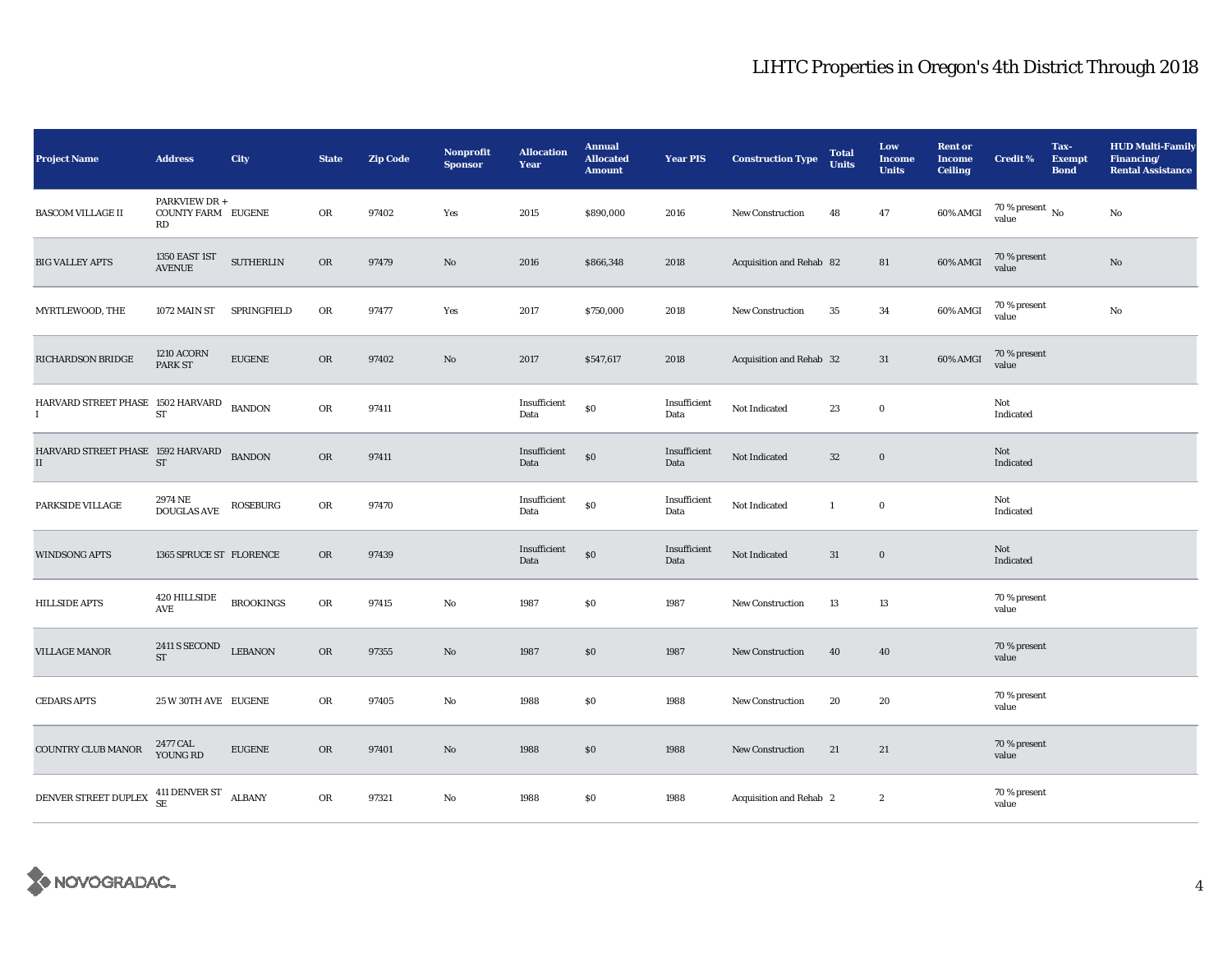| <b>Project Name</b>                                                                                                           | <b>Address</b>                                   | City             | <b>State</b> | <b>Zip Code</b> | <b>Nonprofit</b><br><b>Sponsor</b> | <b>Allocation</b><br>Year | <b>Annual</b><br><b>Allocated</b><br><b>Amount</b> | <b>Year PIS</b>      | <b>Construction Type</b> | <b>Total</b><br><b>Units</b> | Low<br><b>Income</b><br><b>Units</b> | <b>Rent or</b><br><b>Income</b><br><b>Ceiling</b> | <b>Credit %</b>                        | Tax-<br><b>Exempt</b><br><b>Bond</b> | <b>HUD Multi-Family</b><br>Financing/<br><b>Rental Assistance</b> |
|-------------------------------------------------------------------------------------------------------------------------------|--------------------------------------------------|------------------|--------------|-----------------|------------------------------------|---------------------------|----------------------------------------------------|----------------------|--------------------------|------------------------------|--------------------------------------|---------------------------------------------------|----------------------------------------|--------------------------------------|-------------------------------------------------------------------|
| BASCOM VILLAGE II                                                                                                             | PARKVIEW DR +<br><b>COUNTY FARM EUGENE</b><br>RD |                  | OR           | 97402           | Yes                                | 2015                      | \$890,000                                          | 2016                 | <b>New Construction</b>  | 48                           | $\bf 47$                             | $60\%$ AMGI                                       | $70$ % present $\,$ No $\,$ value $\,$ |                                      | $\rm No$                                                          |
| <b>BIG VALLEY APTS</b>                                                                                                        | 1350 EAST 1ST<br><b>AVENUE</b>                   | <b>SUTHERLIN</b> | <b>OR</b>    | 97479           | No                                 | 2016                      | \$866,348                                          | 2018                 | Acquisition and Rehab 82 |                              | 81                                   | 60% AMGI                                          | 70 % present<br>value                  |                                      | $\mathbf{N}\mathbf{o}$                                            |
| MYRTLEWOOD, THE                                                                                                               | 1072 MAIN ST                                     | SPRINGFIELD      | ${\rm OR}$   | 97477           | Yes                                | 2017                      | \$750,000                                          | 2018                 | New Construction         | 35                           | 34                                   | 60% AMGI                                          | 70 % present<br>value                  |                                      | No                                                                |
| RICHARDSON BRIDGE                                                                                                             | <b>1210 ACORN</b><br>PARK ST                     | <b>EUGENE</b>    | OR           | 97402           | $\mathbf{N}\mathbf{o}$             | 2017                      | \$547,617                                          | 2018                 | Acquisition and Rehab 32 |                              | 31                                   | 60% AMGI                                          | 70 % present<br>value                  |                                      |                                                                   |
| HARVARD STREET PHASE 1502 HARVARD<br>$\bf{I}$                                                                                 | ${\cal ST}$                                      | <b>BANDON</b>    | OR           | 97411           |                                    | Insufficient<br>Data      | \$0                                                | Insufficient<br>Data | Not Indicated            | 23                           | $\bf{0}$                             |                                                   | Not<br>Indicated                       |                                      |                                                                   |
| $\begin{array}{ll} \text{HARVARD STREET PHASE} & \text{1592 HARVARD} \\ \text{II} & \text{ST} \end{array}$<br>$\rm II$        |                                                  | <b>BANDON</b>    | ${\rm OR}$   | 97411           |                                    | Insufficient<br>Data      | $\$0$                                              | Insufficient<br>Data | Not Indicated            | $32\,$                       | $\mathbf 0$                          |                                                   | Not<br>Indicated                       |                                      |                                                                   |
| PARKSIDE VILLAGE                                                                                                              | 2974 NE<br>$\operatorname{DOUGLAS}$ AVE          | <b>ROSEBURG</b>  | OR           | 97470           |                                    | Insufficient<br>Data      | $\$0$                                              | Insufficient<br>Data | Not Indicated            | $\mathbf{1}$                 | $\mathbf 0$                          |                                                   | Not<br>Indicated                       |                                      |                                                                   |
| <b>WINDSONG APTS</b>                                                                                                          | 1365 SPRUCE ST FLORENCE                          |                  | OR           | 97439           |                                    | Insufficient<br>Data      | $\$0$                                              | Insufficient<br>Data | Not Indicated            | 31                           | $\mathbf 0$                          |                                                   | Not<br>Indicated                       |                                      |                                                                   |
| <b>HILLSIDE APTS</b>                                                                                                          | 420 HILLSIDE<br>AVE                              | <b>BROOKINGS</b> | ${\rm OR}$   | 97415           | No                                 | 1987                      | \$0                                                | 1987                 | <b>New Construction</b>  | 13                           | 13                                   |                                                   | 70 % present<br>value                  |                                      |                                                                   |
| <b>VILLAGE MANOR</b>                                                                                                          | 2411 S SECOND<br>$\operatorname{ST}$             | <b>LEBANON</b>   | $_{\rm OR}$  | 97355           | $\mathbf{N}\mathbf{o}$             | 1987                      | \$0\$                                              | 1987                 | New Construction         | 40                           | 40                                   |                                                   | 70 % present<br>value                  |                                      |                                                                   |
| <b>CEDARS APTS</b>                                                                                                            | 25 W 30TH AVE EUGENE                             |                  | OR           | 97405           | No                                 | 1988                      | \$0                                                | 1988                 | New Construction         | 20                           | 20                                   |                                                   | 70 % present<br>value                  |                                      |                                                                   |
| <b>COUNTRY CLUB MANOR</b>                                                                                                     | 2477 CAL<br>YOUNG RD                             | <b>EUGENE</b>    | OR           | 97401           | No                                 | 1988                      | \$0\$                                              | 1988                 | New Construction         | 21                           | 21                                   |                                                   | 70 % present<br>value                  |                                      |                                                                   |
| $\begin{array}{ll} \text{DENVER STREET DUPLEX} & \begin{array}{ll} \text{411 DENVER ST} \\ \text{SE} \end{array} \end{array}$ |                                                  | <b>ALBANY</b>    | OR           | 97321           | No                                 | 1988                      | \$0                                                | 1988                 | Acquisition and Rehab 2  |                              | $\boldsymbol{2}$                     |                                                   | 70 % present<br>value                  |                                      |                                                                   |

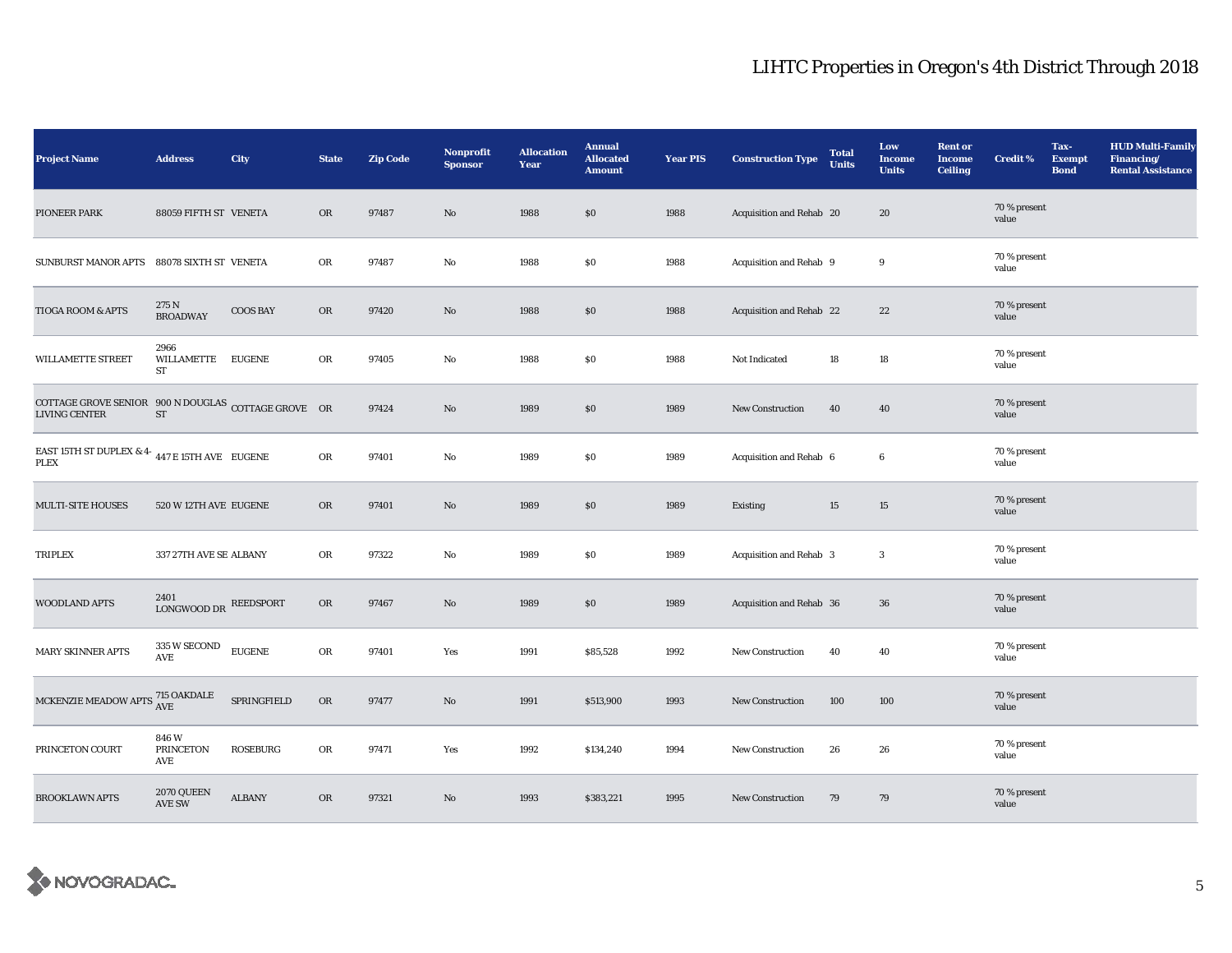| <b>Project Name</b>                                                           | <b>Address</b>           | City            | <b>State</b> | <b>Zip Code</b> | Nonprofit<br><b>Sponsor</b> | <b>Allocation</b><br>Year | <b>Annual</b><br><b>Allocated</b><br><b>Amount</b> | <b>Year PIS</b> | <b>Construction Type</b> | <b>Total</b><br><b>Units</b> | Low<br><b>Income</b><br><b>Units</b> | <b>Rent or</b><br><b>Income</b><br><b>Ceiling</b> | <b>Credit %</b>       | Tax-<br><b>Exempt</b><br><b>Bond</b> | <b>HUD Multi-Family</b><br>Financing/<br><b>Rental Assistance</b> |
|-------------------------------------------------------------------------------|--------------------------|-----------------|--------------|-----------------|-----------------------------|---------------------------|----------------------------------------------------|-----------------|--------------------------|------------------------------|--------------------------------------|---------------------------------------------------|-----------------------|--------------------------------------|-------------------------------------------------------------------|
| PIONEER PARK                                                                  | 88059 FIFTH ST VENETA    |                 | <b>OR</b>    | 97487           | $\rm No$                    | 1988                      | \$0                                                | 1988            | Acquisition and Rehab 20 |                              | 20                                   |                                                   | 70 % present<br>value |                                      |                                                                   |
| SUNBURST MANOR APTS 88078 SIXTH ST VENETA                                     |                          |                 | OR           | 97487           | No                          | 1988                      | \$0                                                | 1988            | Acquisition and Rehab 9  |                              | 9                                    |                                                   | 70 % present<br>value |                                      |                                                                   |
| TIOGA ROOM & APTS                                                             | 275 N<br><b>BROADWAY</b> | <b>COOS BAY</b> | $_{\rm OR}$  | 97420           | $\mathbf{N}\mathbf{o}$      | 1988                      | \$0                                                | 1988            | Acquisition and Rehab 22 |                              | 22                                   |                                                   | 70 % present<br>value |                                      |                                                                   |
| WILLAMETTE STREET                                                             | 2966<br>WILLAMETTE<br>ST | <b>EUGENE</b>   | OR           | 97405           | No                          | 1988                      | $\$0$                                              | 1988            | Not Indicated            | 18                           | $18\,$                               |                                                   | 70 % present<br>value |                                      |                                                                   |
| COTTAGE GROVE SENIOR $900 N$ DOUGLAS COTTAGE GROVE OR<br><b>LIVING CENTER</b> | <b>ST</b>                |                 |              | 97424           | $\mathbf{N}\mathbf{o}$      | 1989                      | $\$0$                                              | 1989            | <b>New Construction</b>  | 40                           | 40                                   |                                                   | 70 % present<br>value |                                      |                                                                   |
| EAST 15TH ST DUPLEX & 4- $\,$ 447 E 15TH AVE $\,$ EUGENE<br><b>PLEX</b>       |                          |                 | ${\sf OR}$   | 97401           | No                          | 1989                      | $\$0$                                              | 1989            | Acquisition and Rehab 6  |                              | $\bf 6$                              |                                                   | 70 % present<br>value |                                      |                                                                   |
| <b>MULTI-SITE HOUSES</b>                                                      | 520 W 12TH AVE EUGENE    |                 | OR           | 97401           | No                          | 1989                      | \$0                                                | 1989            | Existing                 | 15                           | $15\,$                               |                                                   | 70 % present<br>value |                                      |                                                                   |
| <b>TRIPLEX</b>                                                                | 337 27TH AVE SE ALBANY   |                 | OR           | 97322           | No                          | 1989                      | \$0                                                | 1989            | Acquisition and Rehab 3  |                              | $\boldsymbol{3}$                     |                                                   | 70 % present<br>value |                                      |                                                                   |
| WOODLAND APTS                                                                 | 2401<br>LONGWOOD DR      | REEDSPORT       | OR           | 97467           | $\rm No$                    | 1989                      | \$0                                                | 1989            | Acquisition and Rehab 36 |                              | 36                                   |                                                   | 70 % present<br>value |                                      |                                                                   |
| <b>MARY SKINNER APTS</b>                                                      | 335 W SECOND<br>AVE      | <b>EUGENE</b>   | OR           | 97401           | Yes                         | 1991                      | \$85,528                                           | 1992            | New Construction         | 40                           | 40                                   |                                                   | 70 % present<br>value |                                      |                                                                   |
| MCKENZIE MEADOW APTS $^{715}_{\rm{AVE}}$                                      |                          | SPRINGFIELD     | OR           | 97477           | $\rm No$                    | 1991                      | \$513,900                                          | 1993            | New Construction         | 100                          | 100                                  |                                                   | 70 % present<br>value |                                      |                                                                   |
| PRINCETON COURT                                                               | 846W<br>PRINCETON<br>AVE | <b>ROSEBURG</b> | OR           | 97471           | Yes                         | 1992                      | \$134,240                                          | 1994            | New Construction         | 26                           | 26                                   |                                                   | 70 % present<br>value |                                      |                                                                   |
| <b>BROOKLAWN APTS</b>                                                         | 2070 QUEEN<br>AVE SW     | <b>ALBANY</b>   | <b>OR</b>    | 97321           | $\mathbf{No}$               | 1993                      | \$383,221                                          | 1995            | New Construction         | 79                           | 79                                   |                                                   | 70 % present<br>value |                                      |                                                                   |

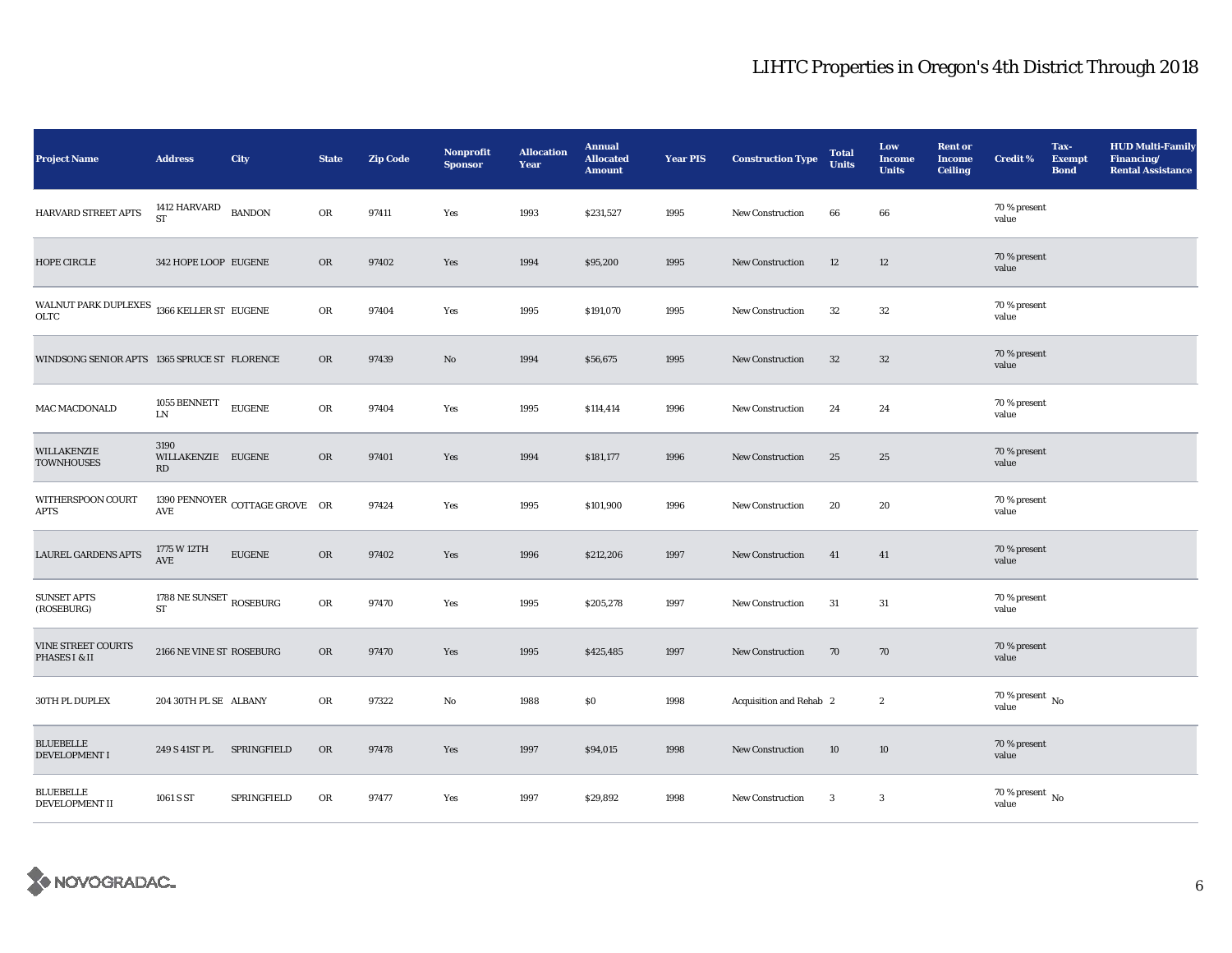| <b>Project Name</b>                                          | <b>Address</b>                         | City                           | <b>State</b> | <b>Zip Code</b> | <b>Nonprofit</b><br><b>Sponsor</b> | <b>Allocation</b><br>Year | <b>Annual</b><br><b>Allocated</b><br><b>Amount</b> | <b>Year PIS</b> | <b>Construction Type</b> | <b>Total</b><br><b>Units</b> | Low<br><b>Income</b><br><b>Units</b> | <b>Rent or</b><br><b>Income</b><br><b>Ceiling</b> | <b>Credit %</b>                    | Tax-<br><b>Exempt</b><br><b>Bond</b> | <b>HUD Multi-Family</b><br>Financing/<br><b>Rental Assistance</b> |
|--------------------------------------------------------------|----------------------------------------|--------------------------------|--------------|-----------------|------------------------------------|---------------------------|----------------------------------------------------|-----------------|--------------------------|------------------------------|--------------------------------------|---------------------------------------------------|------------------------------------|--------------------------------------|-------------------------------------------------------------------|
| HARVARD STREET APTS                                          | 1412 HARVARD<br><b>ST</b>              | <b>BANDON</b>                  | OR           | 97411           | Yes                                | 1993                      | \$231,527                                          | 1995            | <b>New Construction</b>  | 66                           | $\bf{66}$                            |                                                   | 70 % present<br>value              |                                      |                                                                   |
| HOPE CIRCLE                                                  | 342 HOPE LOOP EUGENE                   |                                | OR           | 97402           | Yes                                | 1994                      | \$95,200                                           | 1995            | <b>New Construction</b>  | 12                           | $12\,$                               |                                                   | 70 % present<br>value              |                                      |                                                                   |
| WALNUT PARK DUPLEXES $\,$ 1366 KELLER ST $\,$ EUGENE<br>OLTC |                                        |                                | OR           | 97404           | Yes                                | 1995                      | \$191,070                                          | 1995            | New Construction         | $32\,$                       | 32                                   |                                                   | 70 % present<br>value              |                                      |                                                                   |
| WINDSONG SENIOR APTS 1365 SPRUCE ST FLORENCE                 |                                        |                                | OR           | 97439           | No                                 | 1994                      | \$56,675                                           | 1995            | <b>New Construction</b>  | $32\phantom{.0}$             | $32\,$                               |                                                   | 70 % present<br>value              |                                      |                                                                   |
| MAC MACDONALD                                                | 1055 BENNETT<br>LN                     | <b>EUGENE</b>                  | OR           | 97404           | Yes                                | 1995                      | \$114,414                                          | 1996            | <b>New Construction</b>  | 24                           | 24                                   |                                                   | 70 % present<br>value              |                                      |                                                                   |
| WILLAKENZIE<br><b>TOWNHOUSES</b>                             | 3190<br>WILLAKENZIE EUGENE<br>RD       |                                | OR           | 97401           | Yes                                | 1994                      | \$181,177                                          | 1996            | <b>New Construction</b>  | 25                           | 25                                   |                                                   | 70 % present<br>value              |                                      |                                                                   |
| WITHERSPOON COURT<br><b>APTS</b>                             | AVE                                    | 1390 PENNOYER COTTAGE GROVE OR |              | 97424           | Yes                                | 1995                      | \$101,900                                          | 1996            | <b>New Construction</b>  | 20                           | 20                                   |                                                   | 70 % present<br>value              |                                      |                                                                   |
| <b>LAUREL GARDENS APTS</b>                                   | 1775 W 12TH<br>AVE                     | <b>EUGENE</b>                  | OR           | 97402           | Yes                                | 1996                      | \$212,206                                          | 1997            | <b>New Construction</b>  | 41                           | 41                                   |                                                   | 70 % present<br>value              |                                      |                                                                   |
| <b>SUNSET APTS</b><br>(ROSEBURG)                             | 1788 NE SUNSET $_{\rm ROSEBURG}$<br>ST |                                | OR           | 97470           | Yes                                | 1995                      | \$205,278                                          | 1997            | New Construction         | 31                           | 31                                   |                                                   | 70 % present<br>value              |                                      |                                                                   |
| <b>VINE STREET COURTS</b><br>PHASES I & II                   | 2166 NE VINE ST ROSEBURG               |                                | OR           | 97470           | Yes                                | 1995                      | \$425,485                                          | 1997            | New Construction         | 70                           | 70                                   |                                                   | 70 % present<br>value              |                                      |                                                                   |
| 30TH PL DUPLEX                                               | 204 30TH PL SE ALBANY                  |                                | OR           | 97322           | No                                 | 1988                      | $\$0$                                              | 1998            | Acquisition and Rehab 2  |                              | $\mathbf{2}$                         |                                                   | 70 % present $\,$ No $\,$<br>value |                                      |                                                                   |
| <b>BLUEBELLE</b><br><b>DEVELOPMENT I</b>                     | 249 S 41ST PL                          | SPRINGFIELD                    | <b>OR</b>    | 97478           | Yes                                | 1997                      | \$94,015                                           | 1998            | New Construction         | 10                           | 10                                   |                                                   | 70 % present<br>value              |                                      |                                                                   |
| <b>BLUEBELLE</b><br>DEVELOPMENT II                           | 1061 S ST                              | SPRINGFIELD                    | OR           | 97477           | Yes                                | 1997                      | \$29,892                                           | 1998            | New Construction         | 3                            | $\boldsymbol{3}$                     |                                                   | 70 % present $\,$ No $\,$<br>value |                                      |                                                                   |

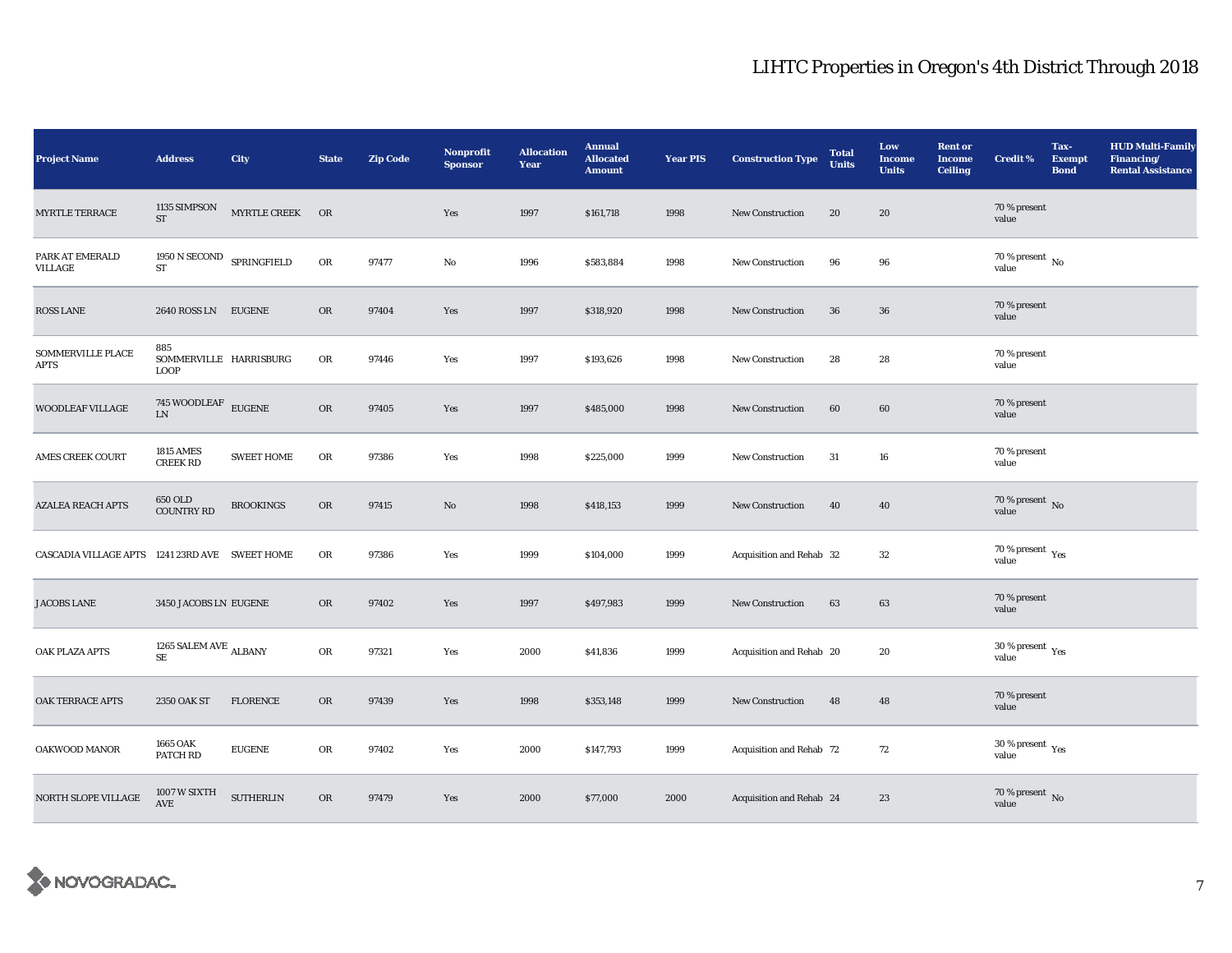| <b>Project Name</b>                            | <b>Address</b>                               | City              | <b>State</b> | <b>Zip Code</b> | Nonprofit<br><b>Sponsor</b> | <b>Allocation</b><br>Year | <b>Annual</b><br><b>Allocated</b><br><b>Amount</b> | <b>Year PIS</b> | <b>Construction Type</b> | <b>Total</b><br><b>Units</b> | Low<br><b>Income</b><br><b>Units</b> | <b>Rent or</b><br><b>Income</b><br><b>Ceiling</b> | <b>Credit %</b>                             | Tax-<br><b>Exempt</b><br><b>Bond</b> | <b>HUD Multi-Family</b><br>Financing/<br><b>Rental Assistance</b> |
|------------------------------------------------|----------------------------------------------|-------------------|--------------|-----------------|-----------------------------|---------------------------|----------------------------------------------------|-----------------|--------------------------|------------------------------|--------------------------------------|---------------------------------------------------|---------------------------------------------|--------------------------------------|-------------------------------------------------------------------|
| <b>MYRTLE TERRACE</b>                          | 1135 SIMPSON<br>ST                           | MYRTLE CREEK OR   |              |                 | Yes                         | 1997                      | \$161,718                                          | 1998            | New Construction         | 20                           | 20                                   |                                                   | 70 % present<br>value                       |                                      |                                                                   |
| PARK AT EMERALD<br>VILLAGE                     | $1950$ N SECOND<br>${\rm ST}$                | SPRINGFIELD       | OR           | 97477           | No                          | 1996                      | \$583,884                                          | 1998            | New Construction         | 96                           | 96                                   |                                                   | $70$ % present $\,$ No $\,$<br>value        |                                      |                                                                   |
| <b>ROSS LANE</b>                               | 2640 ROSS LN EUGENE                          |                   | <b>OR</b>    | 97404           | Yes                         | 1997                      | \$318,920                                          | 1998            | New Construction         | 36                           | 36                                   |                                                   | 70 % present<br>value                       |                                      |                                                                   |
| SOMMERVILLE PLACE<br>APTS                      | 885<br>SOMMERVILLE HARRISBURG<br><b>LOOP</b> |                   | OR           | 97446           | Yes                         | 1997                      | \$193,626                                          | 1998            | New Construction         | 28                           | 28                                   |                                                   | 70 % present<br>value                       |                                      |                                                                   |
| WOODLEAF VILLAGE                               | $745$ WOODLEAF $\,$ EUGENE<br><b>LN</b>      |                   | OR           | 97405           | Yes                         | 1997                      | \$485,000                                          | 1998            | <b>New Construction</b>  | 60                           | 60                                   |                                                   | 70 % present<br>value                       |                                      |                                                                   |
| <b>AMES CREEK COURT</b>                        | <b>1815 AMES</b><br><b>CREEK RD</b>          | <b>SWEET HOME</b> | ${\rm OR}$   | 97386           | Yes                         | 1998                      | \$225,000                                          | 1999            | New Construction         | 31                           | 16                                   |                                                   | 70 % present<br>value                       |                                      |                                                                   |
| <b>AZALEA REACH APTS</b>                       | 650 OLD<br><b>COUNTRY RD</b>                 | <b>BROOKINGS</b>  | OR           | 97415           | No                          | 1998                      | \$418,153                                          | 1999            | <b>New Construction</b>  | 40                           | 40                                   |                                                   | 70 % present $\,$ No $\,$<br>value          |                                      |                                                                   |
| CASCADIA VILLAGE APTS 1241 23RD AVE SWEET HOME |                                              |                   | OR           | 97386           | Yes                         | 1999                      | \$104,000                                          | 1999            | Acquisition and Rehab 32 |                              | $32\,$                               |                                                   | 70 % present $\rm\thinspace_{Yes}$<br>value |                                      |                                                                   |
| <b>JACOBS LANE</b>                             | 3450 JACOBS LN EUGENE                        |                   | OR           | 97402           | Yes                         | 1997                      | \$497,983                                          | 1999            | New Construction         | 63                           | 63                                   |                                                   | 70 % present<br>value                       |                                      |                                                                   |
| OAK PLAZA APTS                                 | 1265 SALEM AVE $_{\rm ALBANY}$<br><b>SE</b>  |                   | OR           | 97321           | Yes                         | 2000                      | \$41,836                                           | 1999            | Acquisition and Rehab 20 |                              | 20                                   |                                                   | 30 % present $\rm \gamma_{\rm es}$<br>value |                                      |                                                                   |
| OAK TERRACE APTS                               | 2350 OAK ST                                  | <b>FLORENCE</b>   | OR           | 97439           | Yes                         | 1998                      | \$353,148                                          | 1999            | New Construction         | 48                           | 48                                   |                                                   | 70 % present<br>value                       |                                      |                                                                   |
| OAKWOOD MANOR                                  | 1665 OAK<br>PATCH RD                         | <b>EUGENE</b>     | OR           | 97402           | Yes                         | 2000                      | \$147,793                                          | 1999            | Acquisition and Rehab 72 |                              | 72                                   |                                                   | $30$ % present $\,$ $\rm Yes$<br>value      |                                      |                                                                   |
| NORTH SLOPE VILLAGE                            | 1007 W SIXTH<br>AVE                          | <b>SUTHERLIN</b>  | OR           | 97479           | Yes                         | 2000                      | \$77,000                                           | 2000            | Acquisition and Rehab 24 |                              | 23                                   |                                                   | $70$ % present $\,$ No value                |                                      |                                                                   |

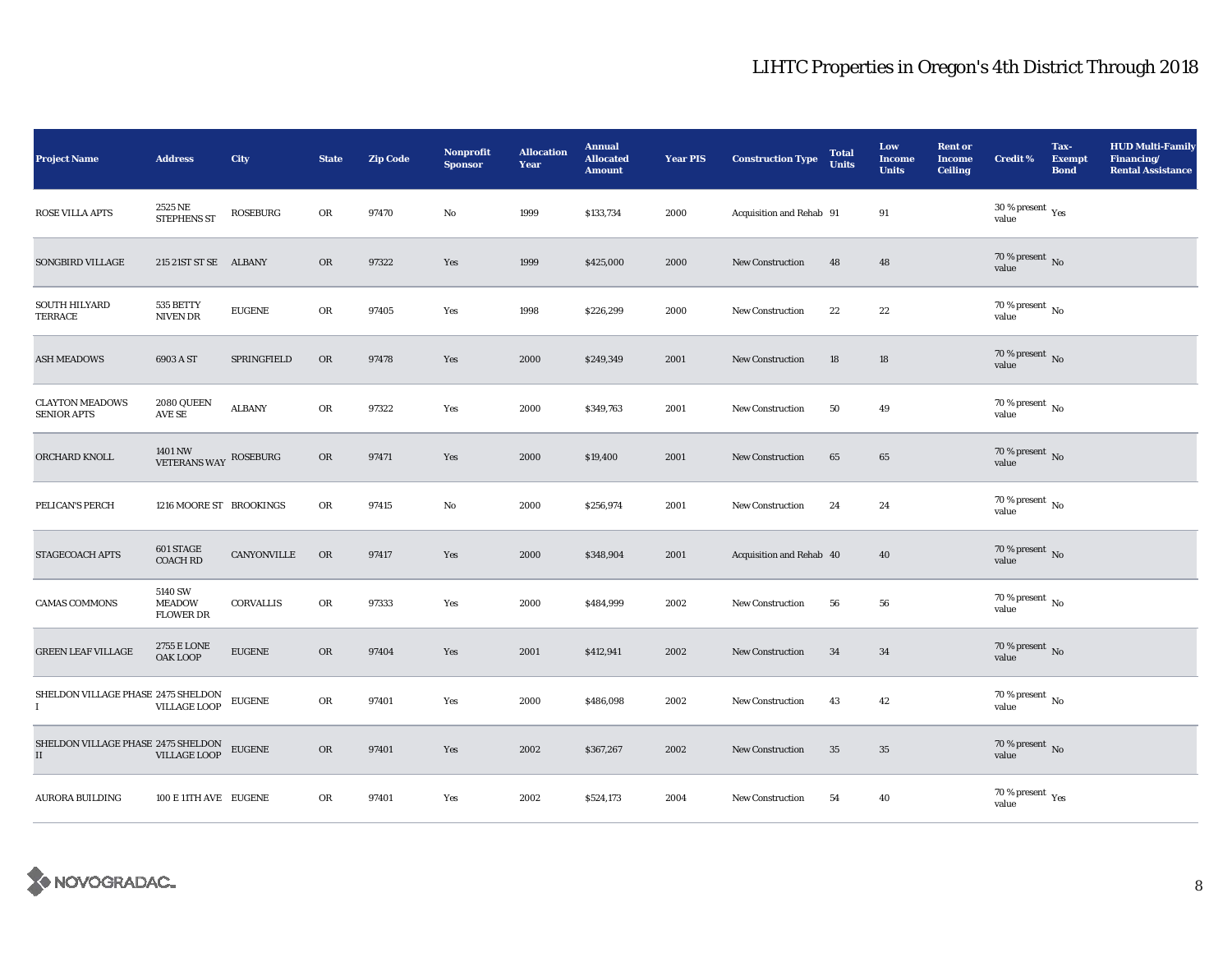| Project Name                                      | <b>Address</b>                               | City            | <b>State</b> | <b>Zip Code</b> | <b>Nonprofit</b><br><b>Sponsor</b> | <b>Allocation</b><br>Year | <b>Annual</b><br><b>Allocated</b><br><b>Amount</b> | <b>Year PIS</b> | <b>Construction Type</b> | <b>Total</b><br><b>Units</b> | Low<br><b>Income</b><br><b>Units</b> | <b>Rent or</b><br><b>Income</b><br><b>Ceiling</b> | <b>Credit %</b>                        | Tax-<br><b>Exempt</b><br><b>Bond</b> | <b>HUD Multi-Family</b><br>Financing/<br><b>Rental Assistance</b> |
|---------------------------------------------------|----------------------------------------------|-----------------|--------------|-----------------|------------------------------------|---------------------------|----------------------------------------------------|-----------------|--------------------------|------------------------------|--------------------------------------|---------------------------------------------------|----------------------------------------|--------------------------------------|-------------------------------------------------------------------|
| <b>ROSE VILLA APTS</b>                            | 2525 NE<br><b>STEPHENS ST</b>                | <b>ROSEBURG</b> | OR           | 97470           | No                                 | 1999                      | \$133,734                                          | 2000            | Acquisition and Rehab 91 |                              | 91                                   |                                                   | $30$ % present $\,$ $\rm Yes$<br>value |                                      |                                                                   |
| SONGBIRD VILLAGE                                  | 215 21ST ST SE ALBANY                        |                 | OR           | 97322           | Yes                                | 1999                      | \$425,000                                          | 2000            | New Construction         | 48                           | 48                                   |                                                   | $70$ % present $\,$ No value           |                                      |                                                                   |
| <b>SOUTH HILYARD</b><br>TERRACE                   | 535 BETTY<br>NIVEN DR                        | <b>EUGENE</b>   | OR           | 97405           | Yes                                | 1998                      | \$226,299                                          | 2000            | New Construction         | 22                           | $\bf{22}$                            |                                                   | 70 % present $\,$ No $\,$<br>value     |                                      |                                                                   |
| <b>ASH MEADOWS</b>                                | 6903 A ST                                    | SPRINGFIELD     | OR           | 97478           | Yes                                | 2000                      | \$249,349                                          | 2001            | New Construction         | 18                           | 18                                   |                                                   | $70$ % present $\,$ No value           |                                      |                                                                   |
| <b>CLAYTON MEADOWS</b><br><b>SENIOR APTS</b>      | 2080 QUEEN<br>AVE SE                         | <b>ALBANY</b>   | OR           | 97322           | Yes                                | 2000                      | \$349,763                                          | 2001            | New Construction         | 50                           | 49                                   |                                                   | 70 % present $\,$ No $\,$<br>value     |                                      |                                                                   |
| ORCHARD KNOLL                                     | 1401 NW<br>VETERANS WAY                      | ROSEBURG        | OR           | 97471           | Yes                                | 2000                      | \$19,400                                           | 2001            | New Construction         | 65                           | 65                                   |                                                   | $70$ % present $\,$ No $\,$ value      |                                      |                                                                   |
| PELICAN'S PERCH                                   | 1216 MOORE ST BROOKINGS                      |                 | OR           | 97415           | No                                 | 2000                      | \$256,974                                          | 2001            | New Construction         | 24                           | 24                                   |                                                   | $70$ % present $\,$ No value           |                                      |                                                                   |
| STAGECOACH APTS                                   | 601 STAGE<br><b>COACH RD</b>                 | CANYONVILLE     | OR           | 97417           | Yes                                | 2000                      | \$348,904                                          | 2001            | Acquisition and Rehab 40 |                              | 40                                   |                                                   | $70$ % present $\,$ No value           |                                      |                                                                   |
| <b>CAMAS COMMONS</b>                              | 5140 SW<br><b>MEADOW</b><br><b>FLOWER DR</b> | CORVALLIS       | OR           | 97333           | Yes                                | 2000                      | \$484,999                                          | 2002            | New Construction         | 56                           | 56                                   |                                                   | 70 % present $\,$ No $\,$<br>value     |                                      |                                                                   |
| <b>GREEN LEAF VILLAGE</b>                         | 2755 E LONE<br><b>OAK LOOP</b>               | <b>EUGENE</b>   | OR           | 97404           | Yes                                | 2001                      | \$412,941                                          | 2002            | <b>New Construction</b>  | 34                           | 34                                   |                                                   | $70$ % present $\,$ No $\,$ value $\,$ |                                      |                                                                   |
| SHELDON VILLAGE PHASE 2475 SHELDON<br>$\mathbf I$ | <b>VILLAGE LOOP</b>                          | <b>EUGENE</b>   | OR           | 97401           | Yes                                | 2000                      | \$486,098                                          | 2002            | New Construction         | 43                           | 42                                   |                                                   | 70 % present $\,$ No $\,$<br>value     |                                      |                                                                   |
| SHELDON VILLAGE PHASE 2475 SHELDON<br>$\rm II$    | <b>VILLAGE LOOP</b>                          | ${\tt EUGENE}$  | OR           | 97401           | Yes                                | 2002                      | \$367,267                                          | 2002            | <b>New Construction</b>  | 35                           | $35\,$                               |                                                   | 70 % present $\hbox{~No}$<br>value     |                                      |                                                                   |
| <b>AURORA BUILDING</b>                            | 100 E 11TH AVE EUGENE                        |                 | OR           | 97401           | Yes                                | 2002                      | \$524,173                                          | 2004            | New Construction         | 54                           | 40                                   |                                                   | $70$ % present $\,$ $\rm Yes$ value    |                                      |                                                                   |